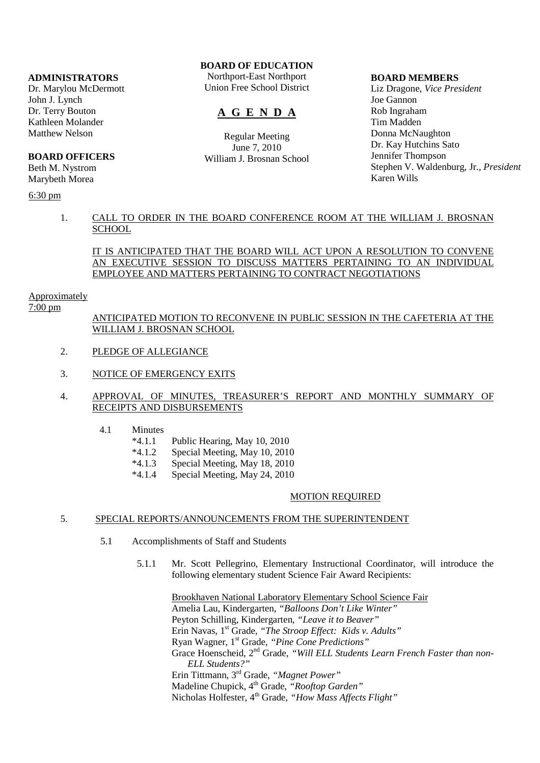#### **ADMINISTRATORS**

Dr. Marylou McDermott John J. Lynch Dr. Terry Bouton Kathleen Molander Matthew Nelson

#### **BOARD OFFICERS**

Beth M. Nystrom Marybeth Morea

## 6:30 pm

# **BOARD OF EDUCATION**

Northport-East Northport Union Free School District

# **A G E N D A**

Regular Meeting June 7, 2010 William J. Brosnan School

#### **BOARD MEMBERS**

Liz Dragone, *Vice President* Joe Gannon Rob Ingraham Tim Madden Donna McNaughton Dr. Kay Hutchins Sato Jennifer Thompson Stephen V. Waldenburg, Jr., *President* Karen Wills

## 1. CALL TO ORDER IN THE BOARD CONFERENCE ROOM AT THE WILLIAM J. BROSNAN **SCHOOL**

## IT IS ANTICIPATED THAT THE BOARD WILL ACT UPON A RESOLUTION TO CONVENE AN EXECUTIVE SESSION TO DISCUSS MATTERS PERTAINING TO AN INDIVIDUAL EMPLOYEE AND MATTERS PERTAINING TO CONTRACT NEGOTIATIONS

#### Approximately

#### 7:00 pm

 ANTICIPATED MOTION TO RECONVENE IN PUBLIC SESSION IN THE CAFETERIA AT THE WILLIAM J. BROSNAN SCHOOL

- 2. PLEDGE OF ALLEGIANCE
- 3. NOTICE OF EMERGENCY EXITS

## 4. APPROVAL OF MINUTES, TREASURER'S REPORT AND MONTHLY SUMMARY OF RECEIPTS AND DISBURSEMENTS

- 4.1 Minutes
	- \*4.1.1 Public Hearing, May 10, 2010
	- \*4.1.2 Special Meeting, May 10, 2010
	- \*4.1.3 Special Meeting, May 18, 2010
	- \*4.1.4 Special Meeting, May 24, 2010

#### MOTION REQUIRED

#### 5. SPECIAL REPORTS/ANNOUNCEMENTS FROM THE SUPERINTENDENT

- 5.1 Accomplishments of Staff and Students
	- 5.1.1 Mr. Scott Pellegrino, Elementary Instructional Coordinator, will introduce the following elementary student Science Fair Award Recipients:

 Brookhaven National Laboratory Elementary School Science Fair Amelia Lau, Kindergarten, *"Balloons Don't Like Winter"* Peyton Schilling, Kindergarten, *"Leave it to Beaver"* Erin Navas, 1<sup>st</sup> Grade, "The Stroop Effect: Kids v. Adults" Ryan Wagner, 1st Grade, *"Pine Cone Predictions"* Grace Hoenscheid, 2nd Grade, *"Will ELL Students Learn French Faster than non-ELL Students?"* Erin Tittmann, 3rd Grade, *"Magnet Power"* Madeline Chupick, 4<sup>th</sup> Grade, "Rooftop Garden" Nicholas Holfester, 4th Grade, *"How Mass Affects Flight"*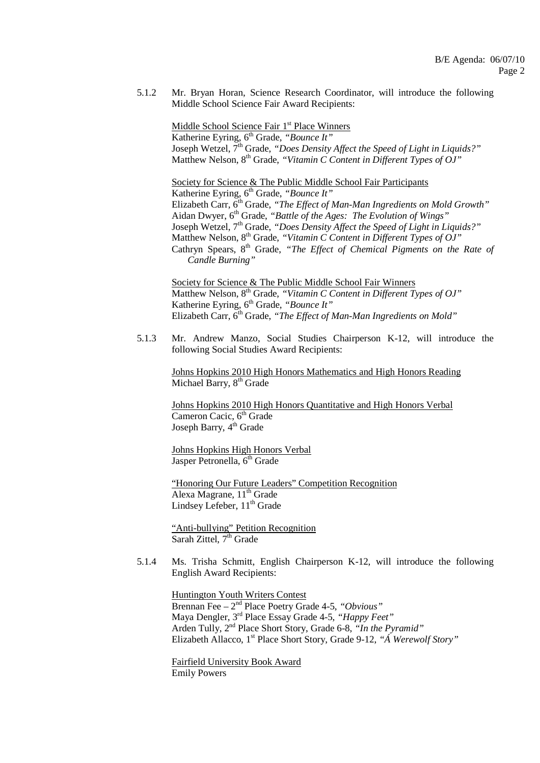5.1.2 Mr. Bryan Horan, Science Research Coordinator, will introduce the following Middle School Science Fair Award Recipients:

Middle School Science Fair 1<sup>st</sup> Place Winners Katherine Eyring, 6<sup>th</sup> Grade, *"Bounce It"* Joseph Wetzel, 7<sup>th</sup> Grade, "Does Density Affect the Speed of Light in Liquids?" Matthew Nelson, 8<sup>th</sup> Grade, "Vitamin C Content in Different Types of OJ"

 Society for Science & The Public Middle School Fair Participants Katherine Eyring, 6<sup>th</sup> Grade, "Bounce It" Elizabeth Carr,  $6<sup>th</sup>$  Grade, "The Effect of Man-Man Ingredients on Mold Growth" Aidan Dwyer, 6<sup>th</sup> Grade, "Battle of the Ages: The Evolution of Wings" Joseph Wetzel, 7<sup>th</sup> Grade, *"Does Density Affect the Speed of Light in Liquids?"* Matthew Nelson, 8<sup>th</sup> Grade, "Vitamin C Content in Different Types of OJ" Cathryn Spears, 8<sup>th</sup> Grade, "The Effect of Chemical Pigments on the Rate of *Candle Burning"*

> Society for Science & The Public Middle School Fair Winners Matthew Nelson, 8<sup>th</sup> Grade, "Vitamin C Content in Different Types of OJ" Katherine Eyring, 6<sup>th</sup> Grade, *"Bounce It"* Elizabeth Carr, 6th Grade, *"The Effect of Man-Man Ingredients on Mold"*

 5.1.3 Mr. Andrew Manzo, Social Studies Chairperson K-12, will introduce the following Social Studies Award Recipients:

 Johns Hopkins 2010 High Honors Mathematics and High Honors Reading Michael Barry,  $8<sup>th</sup>$  Grade

 Johns Hopkins 2010 High Honors Quantitative and High Honors Verbal Cameron Cacic, 6<sup>th</sup> Grade Joseph Barry,  $4<sup>th</sup>$  Grade

 Johns Hopkins High Honors Verbal Jasper Petronella, 6<sup>th</sup> Grade

"Honoring Our Future Leaders" Competition Recognition Alexa Magrane, 11<sup>th</sup> Grade Lindsey Lefeber,  $11<sup>th</sup>$  Grade

 "Anti-bullying" Petition Recognition Sarah Zittel,  $7<sup>th</sup>$  Grade

 5.1.4 Ms. Trisha Schmitt, English Chairperson K-12, will introduce the following English Award Recipients:

 Huntington Youth Writers Contest Brennan Fee – 2nd Place Poetry Grade 4-5, *"Obvious"* Maya Dengler, 3rd Place Essay Grade 4-5, *"Happy Feet"* Arden Tully, 2nd Place Short Story, Grade 6-8, *"In the Pyramid"* Elizabeth Allacco, 1<sup>st</sup> Place Short Story, Grade 9-12, "A Werewolf Story"

 Fairfield University Book Award Emily Powers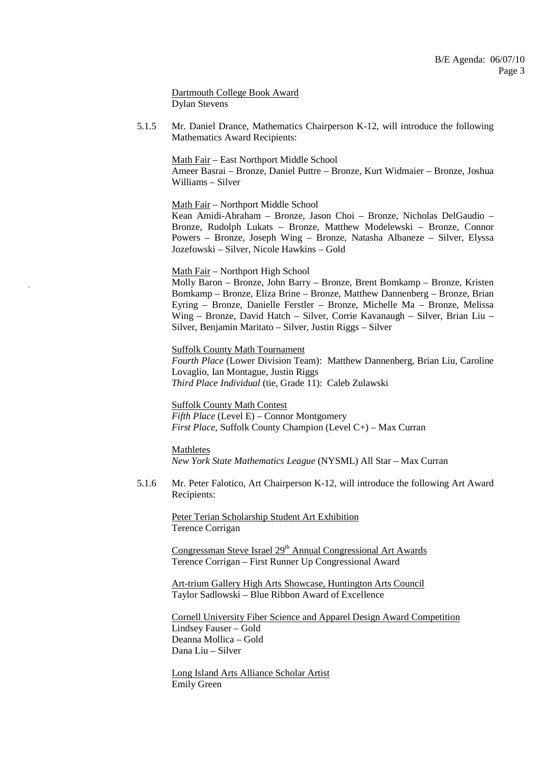Dartmouth College Book Award Dylan Stevens

 5.1.5 Mr. Daniel Drance, Mathematics Chairperson K-12, will introduce the following Mathematics Award Recipients:

 Math Fair – East Northport Middle School Ameer Basrai – Bronze, Daniel Puttre – Bronze, Kurt Widmaier – Bronze, Joshua Williams – Silver

Math Fair – Northport Middle School

 Kean Amidi-Abraham – Bronze, Jason Choi – Bronze, Nicholas DelGaudio – Bronze, Rudolph Lukats – Bronze, Matthew Modelewski – Bronze, Connor Powers – Bronze, Joseph Wing – Bronze, Natasha Albaneze – Silver, Elyssa Jozefowski – Silver, Nicole Hawkins – Gold

Math Fair – Northport High School

 Molly Baron – Bronze, John Barry – Bronze, Brent Bomkamp – Bronze, Kristen Bomkamp – Bronze, Eliza Brine – Bronze, Matthew Dannenberg – Bronze, Brian Eyring – Bronze, Danielle Ferstler – Bronze, Michelle Ma – Bronze, Melissa Wing – Bronze, David Hatch – Silver, Corrie Kavanaugh – Silver, Brian Liu – Silver, Benjamin Maritato – Silver, Justin Riggs – Silver

 Suffolk County Math Tournament *Fourth Place* (Lower Division Team): Matthew Dannenberg, Brian Liu, Caroline Lovaglio, Ian Montague, Justin Riggs  *Third Place Individual* (tie, Grade 11): Caleb Zulawski

 Suffolk County Math Contest *Fifth Place* (Level E) – Connor Montgomery  *First Place*, Suffolk County Champion (Level C+) – Max Curran

Mathletes

*New York State Mathematics League* (NYSML) All Star – Max Curran

 5.1.6 Mr. Peter Falotico, Art Chairperson K-12, will introduce the following Art Award Recipients:

 Peter Terian Scholarship Student Art Exhibition Terence Corrigan

Congressman Steve Israel 29<sup>th</sup> Annual Congressional Art Awards Terence Corrigan – First Runner Up Congressional Award

 Art-trium Gallery High Arts Showcase, Huntington Arts Council Taylor Sadlowski – Blue Ribbon Award of Excellence

 Cornell University Fiber Science and Apparel Design Award Competition Lindsey Fauser – Gold Deanna Mollica – Gold Dana Liu – Silver

 Long Island Arts Alliance Scholar Artist Emily Green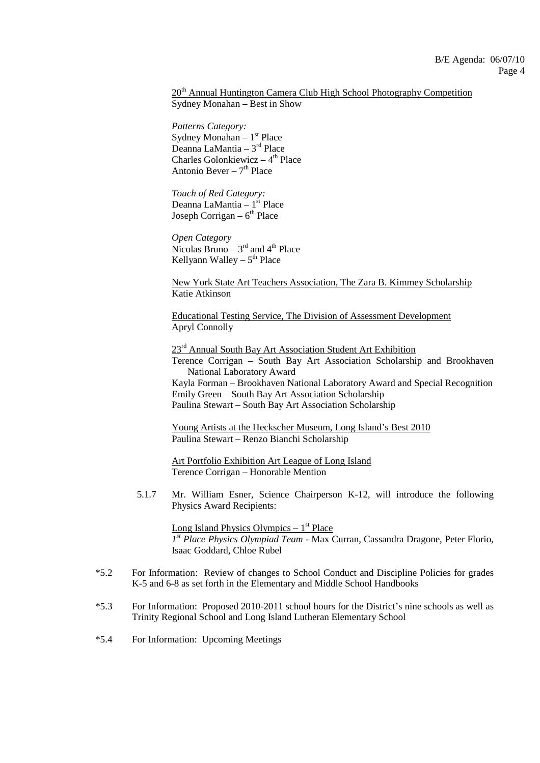### 20<sup>th</sup> Annual Huntington Camera Club High School Photography Competition Sydney Monahan – Best in Show

 *Patterns Category:* Sydney Monahan –  $1<sup>st</sup>$  Place Deanna LaMantia – 3rd Place Charles Golonkiewicz –  $4<sup>th</sup>$  Place Antonio Bever –  $7<sup>th</sup>$  Place

 *Touch of Red Category:* Deanna LaMantia – 1<sup>st</sup> Place Joseph Corrigan –  $6<sup>th</sup>$  Place

 *Open Category* Nicolas Bruno –  $3<sup>rd</sup>$  and  $4<sup>th</sup>$  Place Kellyann Walley –  $5<sup>th</sup>$  Place

 New York State Art Teachers Association, The Zara B. Kimmey Scholarship Katie Atkinson

 Educational Testing Service, The Division of Assessment Development Apryl Connolly

23<sup>rd</sup> Annual South Bay Art Association Student Art Exhibition

 Terence Corrigan – South Bay Art Association Scholarship and Brookhaven National Laboratory Award

 Kayla Forman – Brookhaven National Laboratory Award and Special Recognition Emily Green – South Bay Art Association Scholarship Paulina Stewart – South Bay Art Association Scholarship

 Young Artists at the Heckscher Museum, Long Island's Best 2010 Paulina Stewart – Renzo Bianchi Scholarship

 Art Portfolio Exhibition Art League of Long Island Terence Corrigan – Honorable Mention

 5.1.7 Mr. William Esner, Science Chairperson K-12, will introduce the following Physics Award Recipients:

Long Island Physics Olympics  $-1<sup>st</sup>$  Place *1 st Place Physics Olympiad Team* - Max Curran, Cassandra Dragone, Peter Florio, Isaac Goddard, Chloe Rubel

- \*5.2 For Information: Review of changes to School Conduct and Discipline Policies for grades K-5 and 6-8 as set forth in the Elementary and Middle School Handbooks
- \*5.3 For Information: Proposed 2010-2011 school hours for the District's nine schools as well as Trinity Regional School and Long Island Lutheran Elementary School
- \*5.4 For Information: Upcoming Meetings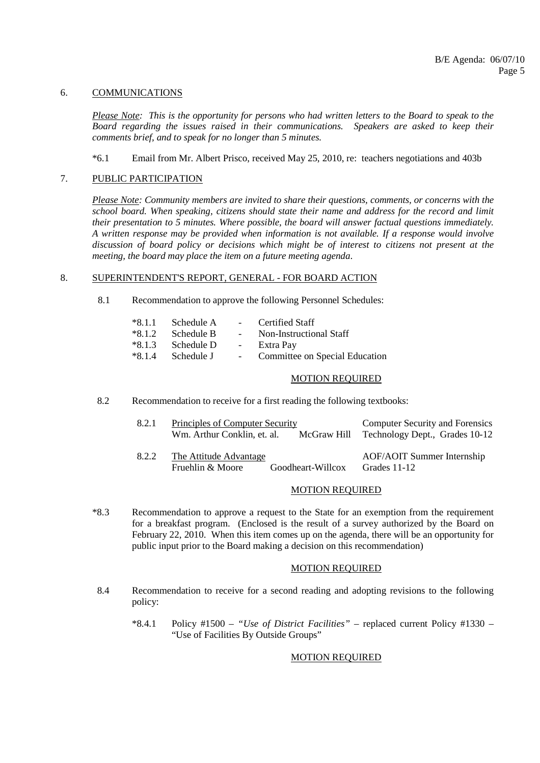#### 6. COMMUNICATIONS

*Please Note: This is the opportunity for persons who had written letters to the Board to speak to the Board regarding the issues raised in their communications. Speakers are asked to keep their comments brief, and to speak for no longer than 5 minutes.*

### \*6.1 Email from Mr. Albert Prisco, received May 25, 2010, re: teachers negotiations and 403b

### 7. PUBLIC PARTICIPATION

*Please Note: Community members are invited to share their questions, comments, or concerns with the school board. When speaking, citizens should state their name and address for the record and limit their presentation to 5 minutes. Where possible, the board will answer factual questions immediately. A written response may be provided when information is not available. If a response would involve discussion of board policy or decisions which might be of interest to citizens not present at the meeting, the board may place the item on a future meeting agenda*.

### 8. SUPERINTENDENT'S REPORT, GENERAL - FOR BOARD ACTION

8.1 Recommendation to approve the following Personnel Schedules:

| $*8.1.1$ | Schedule A          | $\sim$ $-$              | Certified Staff                |
|----------|---------------------|-------------------------|--------------------------------|
| $*8.1.2$ | – Schedule B        | $\sim$ $-$              | Non-Instructional Staff        |
| $*8.1.3$ | Schedule D          | $\sim 100$ km s $^{-1}$ | Extra Pay                      |
|          | $*8.1.4$ Schedule J | $\sim 10^{-10}$         | Committee on Special Education |

#### MOTION REQUIRED

8.2 Recommendation to receive for a first reading the following textbooks:

| 8.2.1 | Principles of Computer Security<br>Wm. Arthur Conklin, et. al. | McGraw Hill       | <b>Computer Security and Forensics</b><br>Technology Dept., Grades 10-12 |
|-------|----------------------------------------------------------------|-------------------|--------------------------------------------------------------------------|
| 8.2.2 | The Attitude Advantage<br>Fruehlin & Moore                     | Goodheart-Willcox | <b>AOF/AOIT Summer Internship</b><br>Grades 11-12                        |

#### MOTION REQUIRED

 \*8.3 Recommendation to approve a request to the State for an exemption from the requirement for a breakfast program. (Enclosed is the result of a survey authorized by the Board on February 22, 2010. When this item comes up on the agenda, there will be an opportunity for public input prior to the Board making a decision on this recommendation)

#### MOTION REQUIRED

- 8.4 Recommendation to receive for a second reading and adopting revisions to the following policy:
	- \*8.4.1 Policy #1500 *"Use of District Facilities"* replaced current Policy #1330 "Use of Facilities By Outside Groups"

## MOTION REQUIRED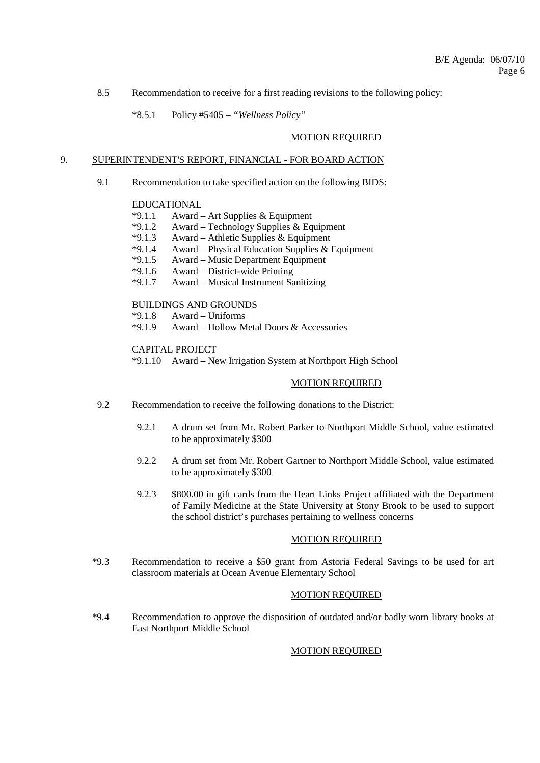8.5 Recommendation to receive for a first reading revisions to the following policy:

\*8.5.1 Policy #5405 – *"Wellness Policy"*

### MOTION REQUIRED

### 9. SUPERINTENDENT'S REPORT, FINANCIAL - FOR BOARD ACTION

9.1 Recommendation to take specified action on the following BIDS:

# EDUCATIONAL<br>\*9.1.1 Award -

- Award Art Supplies  $&$  Equipment
- \*9.1.2 Award Technology Supplies & Equipment
- \*9.1.3 Award Athletic Supplies & Equipment
- Award Physical Education Supplies  $&$  Equipment
- \*9.1.5 Award Music Department Equipment
- \*9.1.6 Award District-wide Printing
- \*9.1.7 Award Musical Instrument Sanitizing

## BUILDINGS AND GROUNDS

- $*9.1.8$  Award Uniforms<br> $*9.1.9$  Award Hollow M
- Award Hollow Metal Doors & Accessories

CAPITAL PROJECT

\*9.1.10 Award – New Irrigation System at Northport High School

## MOTION REQUIRED

- 9.2 Recommendation to receive the following donations to the District:
	- 9.2.1 A drum set from Mr. Robert Parker to Northport Middle School, value estimated to be approximately \$300
	- 9.2.2 A drum set from Mr. Robert Gartner to Northport Middle School, value estimated to be approximately \$300
	- 9.2.3 \$800.00 in gift cards from the Heart Links Project affiliated with the Department of Family Medicine at the State University at Stony Brook to be used to support the school district's purchases pertaining to wellness concerns

## MOTION REQUIRED

 \*9.3 Recommendation to receive a \$50 grant from Astoria Federal Savings to be used for art classroom materials at Ocean Avenue Elementary School

#### MOTION REQUIRED

 \*9.4 Recommendation to approve the disposition of outdated and/or badly worn library books at East Northport Middle School

## MOTION REQUIRED